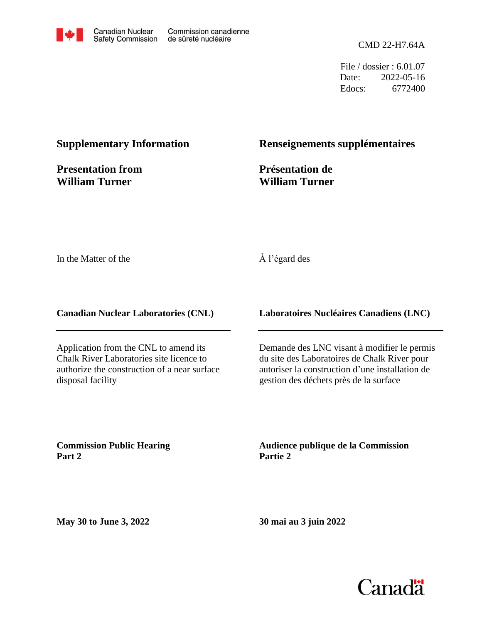

CMD 22-H7.64A

File / dossier : 6.01.07 Date: 2022-05-16 Edocs: 6772400

## **Supplementary Information**

**Presentation from William Turner**

### **Renseignements supplémentaires**

**Présentation de William Turner**

In the Matter of the

### À l'égard des

**Canadian Nuclear Laboratories (CNL)**

Application from the CNL to amend its Chalk River Laboratories site licence to authorize the construction of a near surface disposal facility

**Laboratoires Nucléaires Canadiens (LNC)**

Demande des LNC visant à modifier le permis du site des Laboratoires de Chalk River pour autoriser la construction d'une installation de gestion des déchets près de la surface

**Commission Public Hearing Part 2**

**Audience publique de la Commission Partie 2**

**May 30 to June 3, 2022**

**30 mai au 3 juin 2022**

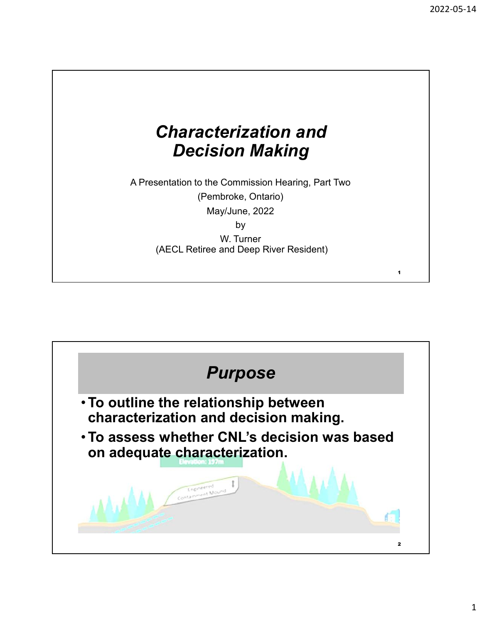# Characterization and Decision Making

A Presentation to the Commission Hearing, Part Two (Pembroke, Ontario) May/June, 2022 by the contract of the contract of the contract of the contract of the contract of the contract of the contract of the contract of the contract of the contract of the contract of the contract of the contract of the contrac

W. Turner (AECL Retiree and Deep River Resident)



1 and  $\blacksquare$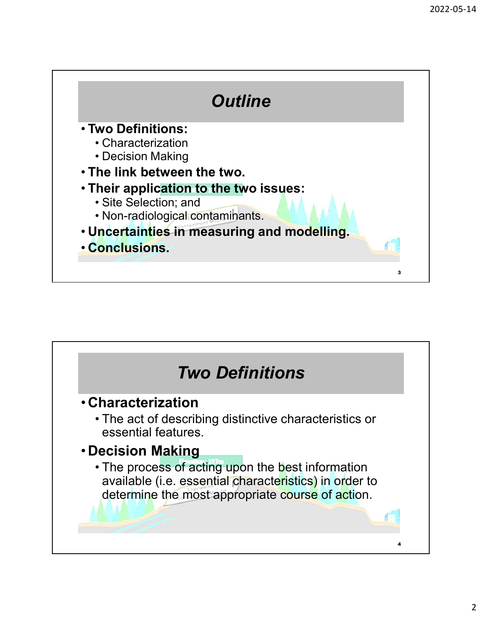

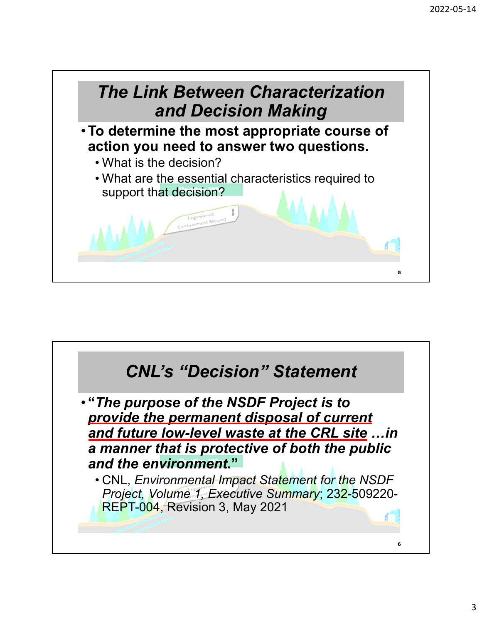

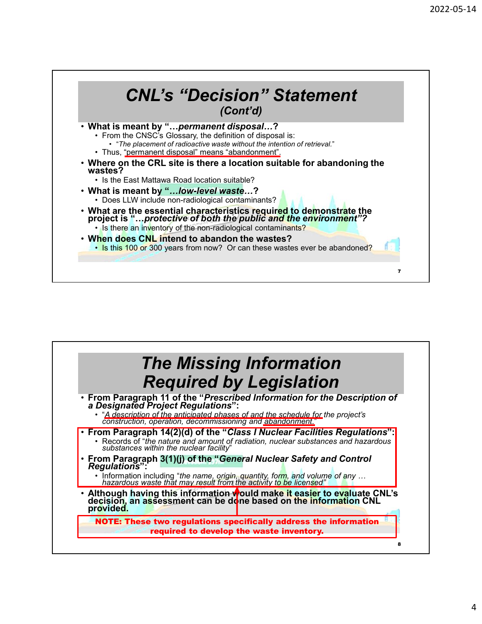

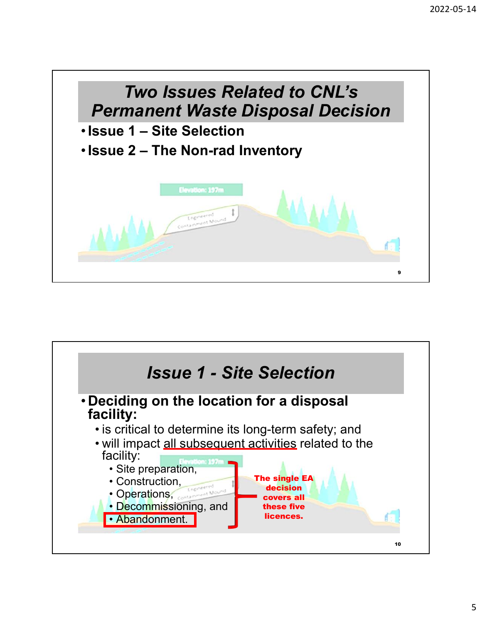

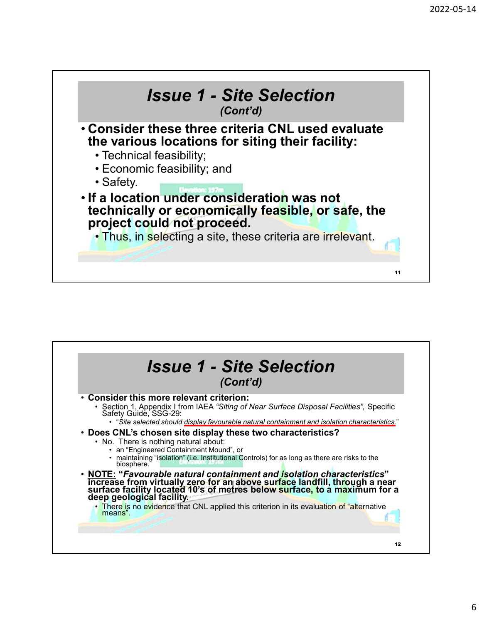

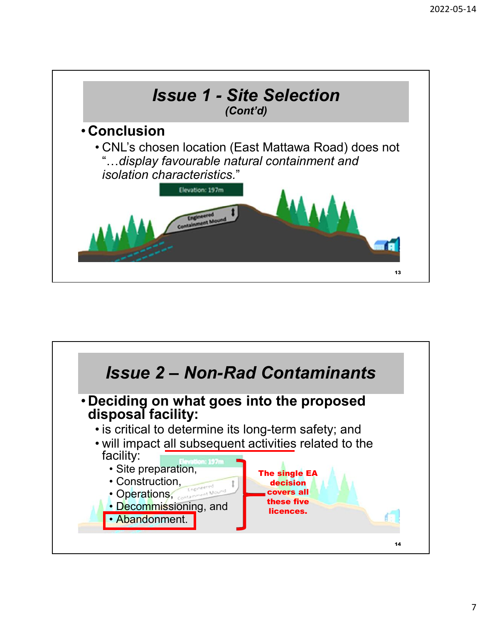

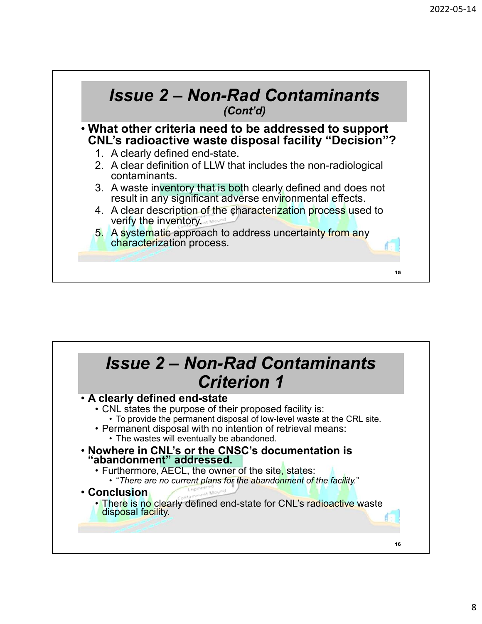

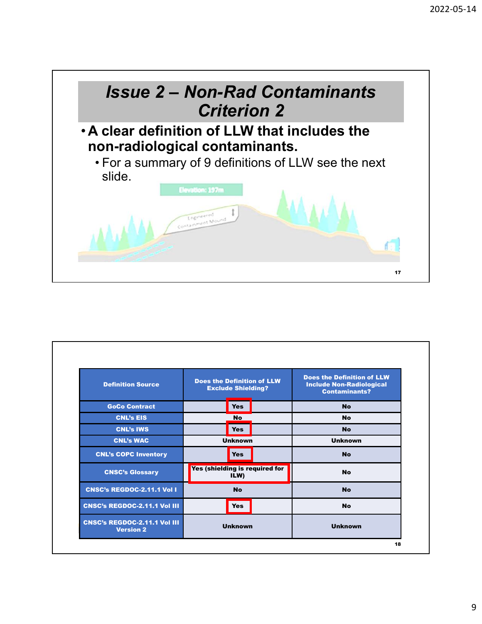

| WM                                                      |                                                                |                                                                                              |    |
|---------------------------------------------------------|----------------------------------------------------------------|----------------------------------------------------------------------------------------------|----|
|                                                         |                                                                |                                                                                              | 17 |
|                                                         |                                                                |                                                                                              |    |
|                                                         |                                                                |                                                                                              |    |
|                                                         |                                                                |                                                                                              |    |
|                                                         |                                                                |                                                                                              |    |
|                                                         |                                                                |                                                                                              |    |
|                                                         |                                                                |                                                                                              |    |
| <b>Definition Source</b>                                | <b>Does the Definition of LLW</b><br><b>Exclude Shielding?</b> | <b>Does the Definition of LLW</b><br><b>Include Non-Radiological</b><br><b>Contaminants?</b> |    |
| <b>GoCo Contract</b>                                    | <b>Yes</b>                                                     | <b>No</b>                                                                                    |    |
| <b>CNL's EIS</b>                                        | <b>No</b>                                                      | <b>No</b>                                                                                    |    |
| <b>CNL's IWS</b>                                        | <b>Yes</b>                                                     | <b>No</b>                                                                                    |    |
| <b>CNL's WAC</b>                                        | <b>Unknown</b>                                                 | <b>Unknown</b>                                                                               |    |
| <b>CNL's COPC Inventory</b>                             | <b>Yes</b>                                                     | <b>No</b>                                                                                    |    |
| <b>CNSC's Glossary</b>                                  | Yes (shielding is required for<br>ILW)                         | <b>No</b>                                                                                    |    |
|                                                         | <b>No</b>                                                      | <b>No</b>                                                                                    |    |
| <b>CNSC's REGDOC-2.11.1 Vol I</b>                       |                                                                | <b>No</b>                                                                                    |    |
| <b>CNSC's REGDOC-2.11.1 Vol III</b>                     | <b>Yes</b>                                                     |                                                                                              |    |
| <b>CNSC's REGDOC-2.11.1 Vol III</b><br><b>Version 2</b> | <b>Unknown</b>                                                 | <b>Unknown</b>                                                                               |    |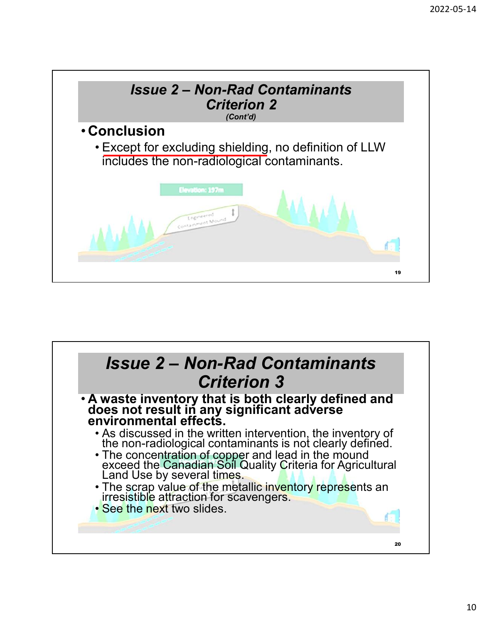

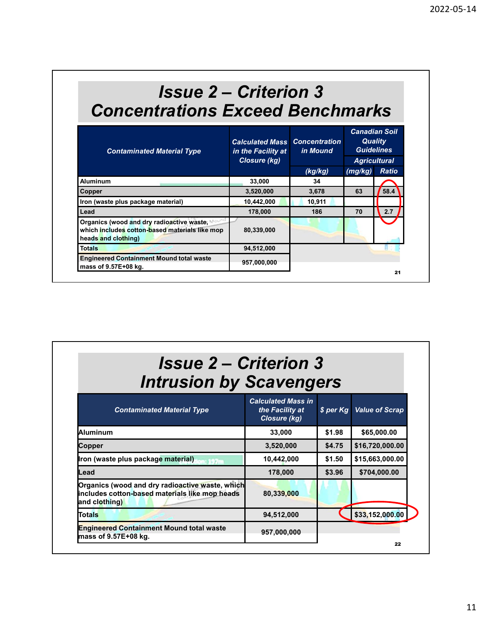# $\begin{array}{l} \textbf{lssue 2} - \textbf{Criterion 3} \\ \textbf{lssue 2} - \textbf{Criterion 3} \\ \textbf{rations Excel Bernchmarks} \\ \textbf{caiculated Mass} \textbf{concentration} \end{array}$ Concentrations Exceed Benchmarks

|               | <b>Issue 2 – Criterion 3</b>                                                                                       |                                                                            |                     |         |                                                                     |
|---------------|--------------------------------------------------------------------------------------------------------------------|----------------------------------------------------------------------------|---------------------|---------|---------------------------------------------------------------------|
|               | <b>Concentrations Exceed Benchmarks</b>                                                                            |                                                                            |                     |         | <b>Canadian Soil</b>                                                |
|               | <b>Contaminated Material Type</b>                                                                                  | <b>Calculated Mass Concentration</b><br>in the Facility at<br>Closure (kg) | in Mound<br>(kg/kg) | (mg/kg) | <b>Quality</b><br><b>Guidelines</b><br><b>Agricultural</b><br>Ratio |
|               | <b>Aluminum</b>                                                                                                    | 33,000                                                                     | 34                  |         |                                                                     |
| <b>Copper</b> |                                                                                                                    | 3,520,000                                                                  | 3,678               | 63      | 58.4                                                                |
|               | Iron (waste plus package material)                                                                                 | 10,442,000                                                                 | 10,911              |         |                                                                     |
| Lead          |                                                                                                                    | 178,000                                                                    | 186                 | 70      | 2.7                                                                 |
|               | Organics (wood and dry radioactive waste,<br>which includes cotton-based materials like mop<br>heads and clothing) | 80,339,000                                                                 |                     |         |                                                                     |
| <b>Totals</b> |                                                                                                                    | 94,512,000                                                                 |                     |         |                                                                     |
|               | <b>Engineered Containment Mound total waste</b><br>mass of 9.57E+08 kg.                                            | 957,000,000                                                                |                     |         | 21                                                                  |

| 178,000     | 186 | 70 | 2.7 |
|-------------|-----|----|-----|
|             |     |    |     |
| 80,339,000  |     |    |     |
| 94,512,000  |     |    |     |
| 957,000,000 |     |    | 21  |
|             |     |    |     |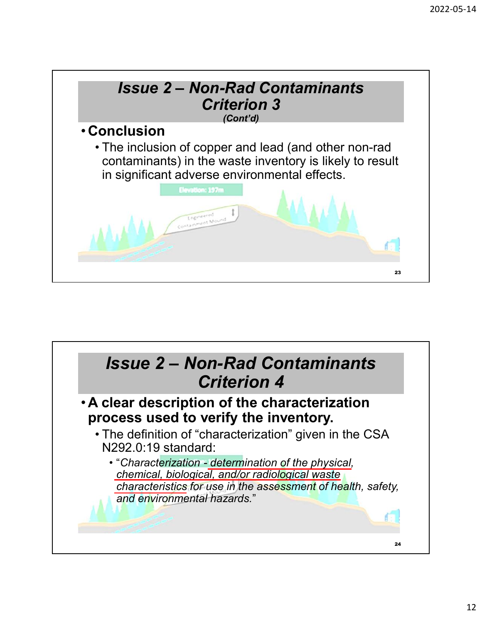

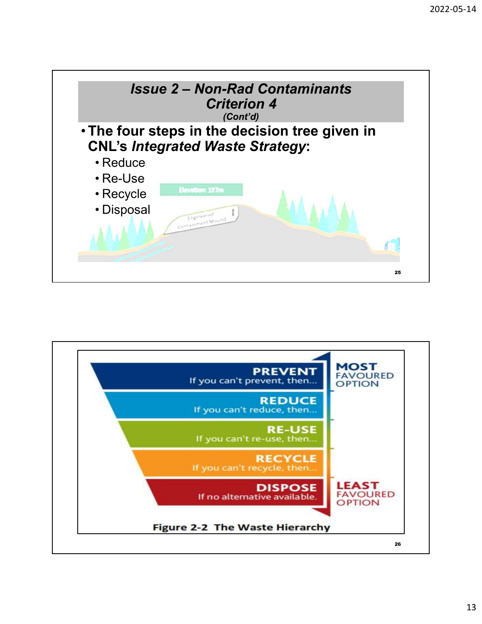

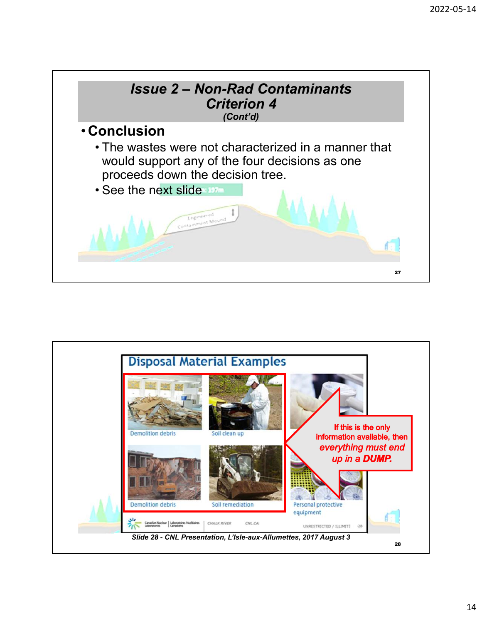

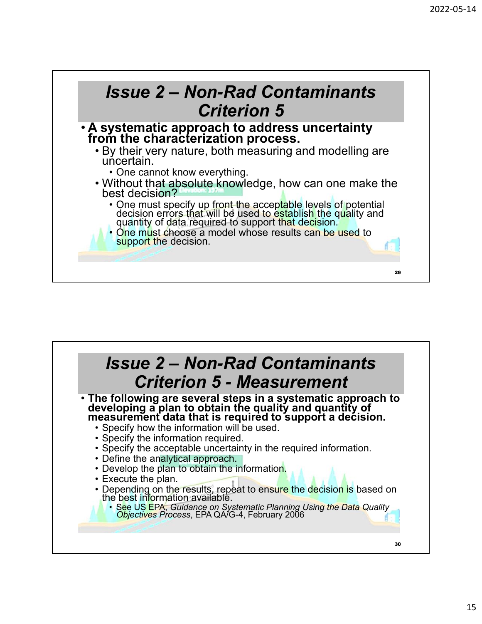

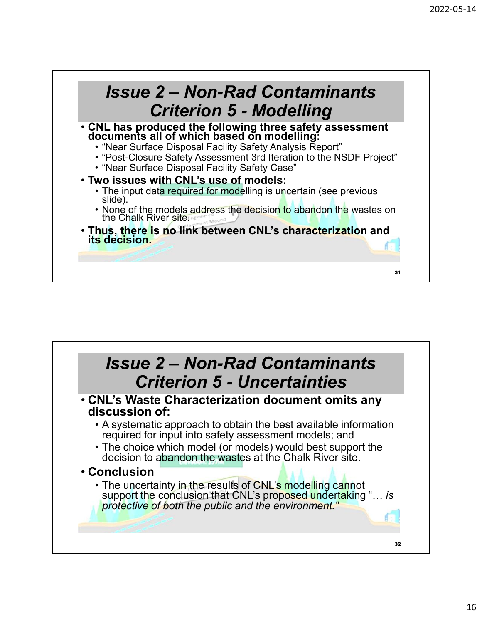

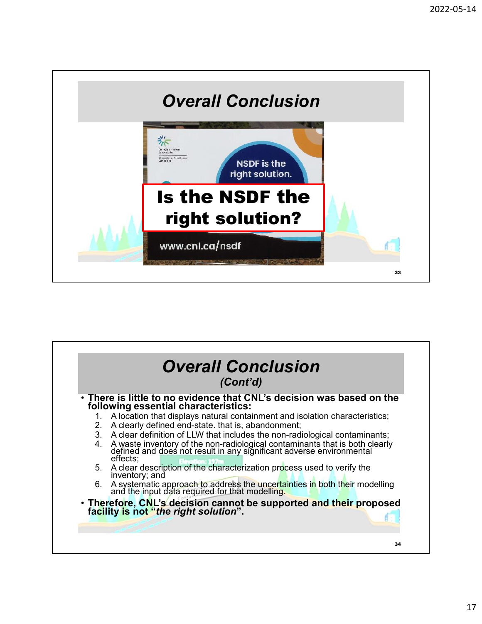